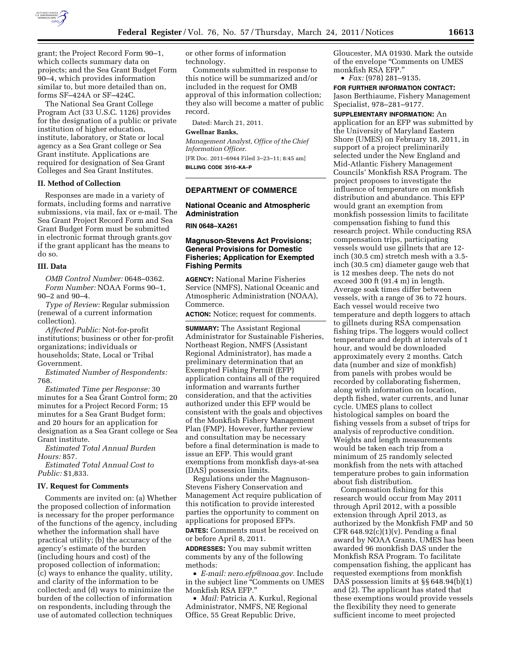

grant; the Project Record Form 90–1, which collects summary data on projects; and the Sea Grant Budget Form 90–4, which provides information similar to, but more detailed than on, forms SF–424A or SF–424C.

The National Sea Grant College Program Act (33 U.S.C. 1126) provides for the designation of a public or private institution of higher education, institute, laboratory, or State or local agency as a Sea Grant college or Sea Grant institute. Applications are required for designation of Sea Grant Colleges and Sea Grant Institutes.

## **II. Method of Collection**

Responses are made in a variety of formats, including forms and narrative submissions, via mail, fax or e-mail. The Sea Grant Project Record Form and Sea Grant Budget Form must be submitted in electronic format through grants.gov if the grant applicant has the means to do so.

#### **III. Data**

*OMB Control Number:* 0648–0362. *Form Number:* NOAA Forms 90–1, 90–2 and 90–4.

*Type of Review:* Regular submission (renewal of a current information collection).

*Affected Public:* Not-for-profit institutions; business or other for-profit organizations; individuals or households; State, Local or Tribal Government.

*Estimated Number of Respondents:*  768.

*Estimated Time per Response:* 30 minutes for a Sea Grant Control form; 20 minutes for a Project Record Form; 15 minutes for a Sea Grant Budget form; and 20 hours for an application for designation as a Sea Grant college or Sea Grant institute.

*Estimated Total Annual Burden Hours:* 857.

*Estimated Total Annual Cost to Public:* \$1,833.

#### **IV. Request for Comments**

Comments are invited on: (a) Whether the proposed collection of information is necessary for the proper performance of the functions of the agency, including whether the information shall have practical utility; (b) the accuracy of the agency's estimate of the burden (including hours and cost) of the proposed collection of information; (c) ways to enhance the quality, utility, and clarity of the information to be collected; and (d) ways to minimize the burden of the collection of information on respondents, including through the use of automated collection techniques

or other forms of information technology.

Comments submitted in response to this notice will be summarized and/or included in the request for OMB approval of this information collection; they also will become a matter of public record.

Dated: March 21, 2011.

# **Gwellnar Banks,**

*Management Analyst, Office of the Chief Information Officer.* 

[FR Doc. 2011–6944 Filed 3–23–11; 8:45 am] **BILLING CODE 3510–KA–P** 

### **DEPARTMENT OF COMMERCE**

### **National Oceanic and Atmospheric Administration**

**RIN 0648–XA261** 

### **Magnuson-Stevens Act Provisions; General Provisions for Domestic Fisheries; Application for Exempted Fishing Permits**

**AGENCY:** National Marine Fisheries Service (NMFS), National Oceanic and Atmospheric Administration (NOAA), Commerce.

**ACTION:** Notice; request for comments.

**SUMMARY:** The Assistant Regional Administrator for Sustainable Fisheries, Northeast Region, NMFS (Assistant Regional Administrator), has made a preliminary determination that an Exempted Fishing Permit (EFP) application contains all of the required information and warrants further consideration, and that the activities authorized under this EFP would be consistent with the goals and objectives of the Monkfish Fishery Management Plan (FMP). However, further review and consultation may be necessary before a final determination is made to issue an EFP. This would grant exemptions from monkfish days-at-sea (DAS) possession limits.

Regulations under the Magnuson-Stevens Fishery Conservation and Management Act require publication of this notification to provide interested parties the opportunity to comment on applications for proposed EFPs.

**DATES:** Comments must be received on or before April 8, 2011.

**ADDRESSES:** You may submit written comments by any of the following methods:

• *E-mail: [nero.efp@noaa.gov.](mailto:nero.efp@noaa.gov)* Include in the subject line ''Comments on UMES Monkfish RSA EFP.''

• *Mail:* Patricia A. Kurkul, Regional Administrator, NMFS, NE Regional Office, 55 Great Republic Drive,

Gloucester, MA 01930. Mark the outside of the envelope ''Comments on UMES monkfish RSA EFP.''

• *Fax:* (978) 281–9135.

**FOR FURTHER INFORMATION CONTACT:**  Jason Berthiaume, Fishery Management Specialist, 978–281–9177.

**SUPPLEMENTARY INFORMATION:** An application for an EFP was submitted by the University of Maryland Eastern Shore (UMES) on February 18, 2011, in support of a project preliminarily selected under the New England and Mid-Atlantic Fishery Management Councils' Monkfish RSA Program. The project proposes to investigate the influence of temperature on monkfish distribution and abundance. This EFP would grant an exemption from monkfish possession limits to facilitate compensation fishing to fund this research project. While conducting RSA compensation trips, participating vessels would use gillnets that are 12 inch (30.5 cm) stretch mesh with a 3.5 inch (30.5 cm) diameter gauge web that is 12 meshes deep. The nets do not exceed 300 ft (91.4 m) in length. Average soak times differ between vessels, with a range of 36 to 72 hours. Each vessel would receive two temperature and depth loggers to attach to gillnets during RSA compensation fishing trips. The loggers would collect temperature and depth at intervals of 1 hour, and would be downloaded approximately every 2 months. Catch data (number and size of monkfish) from panels with probes would be recorded by collaborating fishermen, along with information on location, depth fished, water currents, and lunar cycle. UMES plans to collect histological samples on board the fishing vessels from a subset of trips for analysis of reproductive condition. Weights and length measurements would be taken each trip from a minimum of 25 randomly selected monkfish from the nets with attached temperature probes to gain information about fish distribution.

Compensation fishing for this research would occur from May 2011 through April 2012, with a possible extension through April 2013, as authorized by the Monkfish FMP and 50 CFR  $648.92(c)(1)(v)$ . Pending a final award by NOAA Grants, UMES has been awarded 96 monkfish DAS under the Monkfish RSA Program. To facilitate compensation fishing, the applicant has requested exemptions from monkfish DAS possession limits at §§ 648.94(b)(1) and (2). The applicant has stated that these exemptions would provide vessels the flexibility they need to generate sufficient income to meet projected